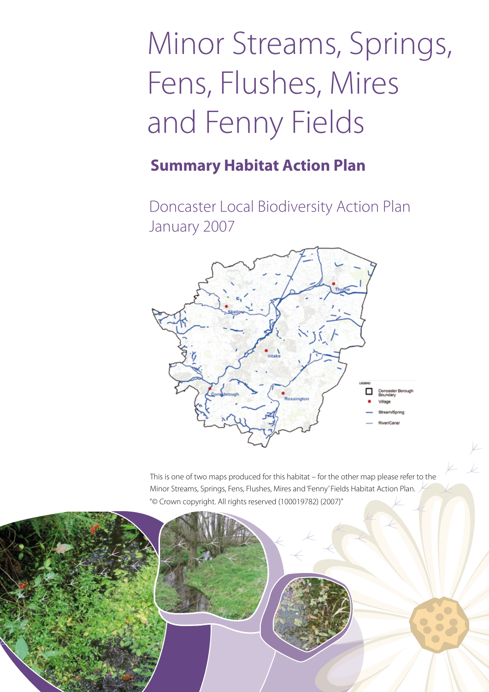# Minor Streams, Springs, Fens, Flushes, Mires and Fenny Fields

# **Summary Habitat Action Plan**

Doncaster Local Biodiversity Action Plan January 2007



This is one of two maps produced for this habitat – for the other map please refer to the Minor Streams, Springs, Fens, Flushes, Mires and 'Fenny' Fields Habitat Action Plan. "© Crown copyright. All rights reserved (100019782) (2007)"

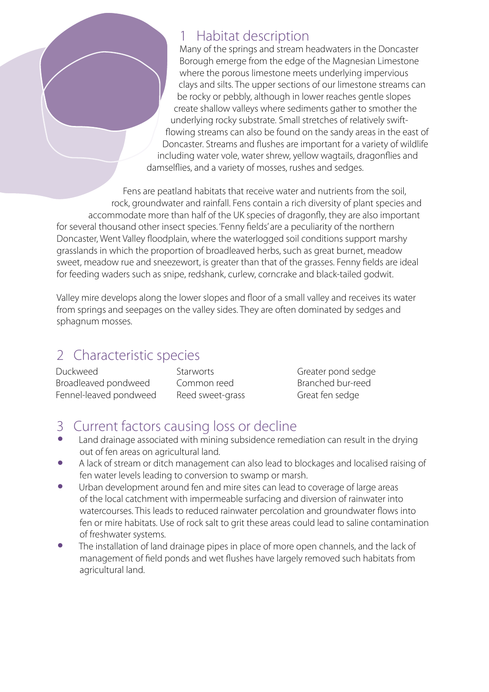#### **Habitat description**

Many of the springs and stream headwaters in the Doncaster Borough emerge from the edge of the Magnesian Limestone where the porous limestone meets underlying impervious clays and silts. The upper sections of our limestone streams can be rocky or pebbly, although in lower reaches gentle slopes create shallow valleys where sediments gather to smother the underlying rocky substrate. Small stretches of relatively swiftflowing streams can also be found on the sandy areas in the east of Doncaster. Streams and flushes are important for a variety of wildlife including water vole, water shrew, yellow wagtails, dragonflies and damselflies, and a variety of mosses, rushes and sedges.

Fens are peatland habitats that receive water and nutrients from the soil, rock, groundwater and rainfall. Fens contain a rich diversity of plant species and accommodate more than half of the UK species of dragonfly, they are also important for several thousand other insect species. 'Fenny fields' are a peculiarity of the northern Doncaster, Went Valley floodplain, where the waterlogged soil conditions support marshy grasslands in which the proportion of broadleaved herbs, such as great burnet, meadow sweet, meadow rue and sneezewort, is greater than that of the grasses. Fenny fields are ideal for feeding waders such as snipe, redshank, curlew, corncrake and black-tailed godwit.

Valley mire develops along the lower slopes and floor of a small valley and receives its water from springs and seepages on the valley sides. They are often dominated by sedges and sphagnum mosses.

#### 2 Characteristic species

Duckweed Broadleaved pondweed Fennel-leaved pondweed **Starworts** Common reed Reed sweet-grass

Greater pond sedge Branched bur-reed Great fen sedge

## 3 Current factors causing loss or decline

- Land drainage associated with mining subsidence remediation can result in the drying out of fen areas on agricultural land.
- A lack of stream or ditch management can also lead to blockages and localised raising of fen water levels leading to conversion to swamp or marsh.
- Urban development around fen and mire sites can lead to coverage of large areas of the local catchment with impermeable surfacing and diversion of rainwater into watercourses. This leads to reduced rainwater percolation and groundwater flows into fen or mire habitats. Use of rock salt to grit these areas could lead to saline contamination of freshwater systems.
- The installation of land drainage pipes in place of more open channels, and the lack of management of field ponds and wet flushes have largely removed such habitats from agricultural land.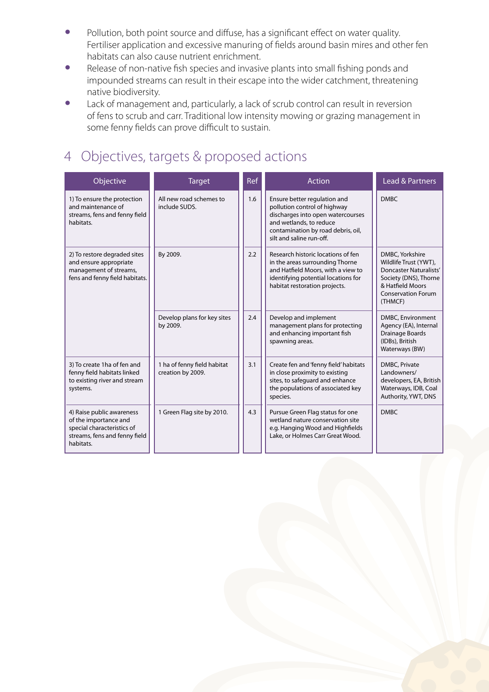- Pollution, both point source and diffuse, has a significant effect on water quality. Fertiliser application and excessive manuring of fields around basin mires and other fen habitats can also cause nutrient enrichment.
- Release of non-native fish species and invasive plants into small fishing ponds and impounded streams can result in their escape into the wider catchment, threatening native biodiversity.
- Lack of management and, particularly, a lack of scrub control can result in reversion of fens to scrub and carr. Traditional low intensity mowing or grazing management in some fenny fields can prove difficult to sustain.

### 4 Objectives, targets & proposed actions

| Objective                                                                                                                      | <b>Target</b>                                    | <b>Ref</b> | Action                                                                                                                                                                                         | Lead & Partners                                                                                                                                                |
|--------------------------------------------------------------------------------------------------------------------------------|--------------------------------------------------|------------|------------------------------------------------------------------------------------------------------------------------------------------------------------------------------------------------|----------------------------------------------------------------------------------------------------------------------------------------------------------------|
| 1) To ensure the protection<br>and maintenance of<br>streams, fens and fenny field<br>habitats.                                | All new road schemes to<br>include SUDS.         | 1.6        | Ensure better regulation and<br>pollution control of highway<br>discharges into open watercourses<br>and wetlands, to reduce<br>contamination by road debris, oil,<br>silt and saline run-off. | <b>DMBC</b>                                                                                                                                                    |
| 2) To restore degraded sites<br>and ensure appropriate<br>management of streams,<br>fens and fenny field habitats.             | By 2009.                                         | 2.2        | Research historic locations of fen<br>in the areas surrounding Thorne<br>and Hatfield Moors, with a view to<br>identifying potential locations for<br>habitat restoration projects.            | DMBC, Yorkshire<br>Wildlife Trust (YWT),<br><b>Doncaster Naturalists'</b><br>Society (DNS), Thorne<br>& Hatfield Moors<br><b>Conservation Forum</b><br>(THMCF) |
|                                                                                                                                | Develop plans for key sites<br>by 2009.          | 2.4        | Develop and implement<br>management plans for protecting<br>and enhancing important fish<br>spawning areas.                                                                                    | DMBC, Environment<br>Agency (EA), Internal<br>Drainage Boards<br>(IDBs), British<br>Waterways (BW)                                                             |
| 3) To create 1ha of fen and<br>fenny field habitats linked<br>to existing river and stream<br>systems.                         | 1 ha of fenny field habitat<br>creation by 2009. | 3.1        | Create fen and 'fenny field' habitats<br>in close proximity to existing<br>sites, to safequard and enhance<br>the populations of associated key<br>species.                                    | DMBC, Private<br>Landowners/<br>developers, EA, British<br>Waterways, IDB, Coal<br>Authority, YWT, DNS                                                         |
| 4) Raise public awareness<br>of the importance and<br>special characteristics of<br>streams, fens and fenny field<br>habitats. | 1 Green Flag site by 2010.                       | 4.3        | Pursue Green Flag status for one<br>wetland nature conservation site<br>e.g. Hanging Wood and Highfields<br>Lake, or Holmes Carr Great Wood.                                                   | <b>DMBC</b>                                                                                                                                                    |